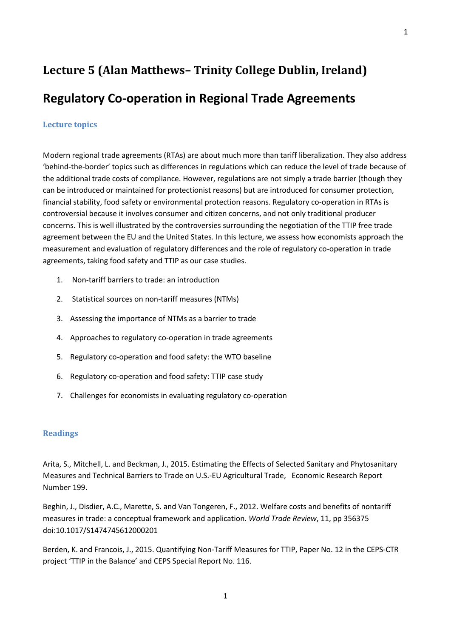## **Lecture 5 (Alan Matthews– Trinity College Dublin, Ireland) Regulatory Co-operation in Regional Trade Agreements**

## **Lecture topics**

Modern regional trade agreements (RTAs) are about much more than tariff liberalization. They also address 'behind-the-border' topics such as differences in regulations which can reduce the level of trade because of the additional trade costs of compliance. However, regulations are not simply a trade barrier (though they can be introduced or maintained for protectionist reasons) but are introduced for consumer protection, financial stability, food safety or environmental protection reasons. Regulatory co-operation in RTAs is controversial because it involves consumer and citizen concerns, and not only traditional producer concerns. This is well illustrated by the controversies surrounding the negotiation of the TTIP free trade agreement between the EU and the United States. In this lecture, we assess how economists approach the measurement and evaluation of regulatory differences and the role of regulatory co-operation in trade agreements, taking food safety and TTIP as our case studies.

- 1. Non-tariff barriers to trade: an introduction
- 2. Statistical sources on non-tariff measures (NTMs)
- 3. Assessing the importance of NTMs as a barrier to trade
- 4. Approaches to regulatory co-operation in trade agreements
- 5. Regulatory co-operation and food safety: the WTO baseline
- 6. Regulatory co-operation and food safety: TTIP case study
- 7. Challenges for economists in evaluating regulatory co-operation

## **Readings**

Arita, S., Mitchell, L. and Beckman, J., 2015. Estimating the Effects of Selected Sanitary and Phytosanitary Measures and Technical Barriers to Trade on U.S.-EU Agricultural Trade, Economic Research Report Number 199.

Beghin, J., Disdier, A.C., Marette, S. and Van Tongeren, F., 2012. Welfare costs and benefits of nontariff measures in trade: a conceptual framework and application. *World Trade Review*, 11, pp 356375 doi:10.1017/S1474745612000201

Berden, K. and Francois, J., 2015. Quantifying Non-Tariff Measures for TTIP, Paper No. 12 in the CEPS-CTR project 'TTIP in the Balance' and CEPS Special Report No. 116.

1